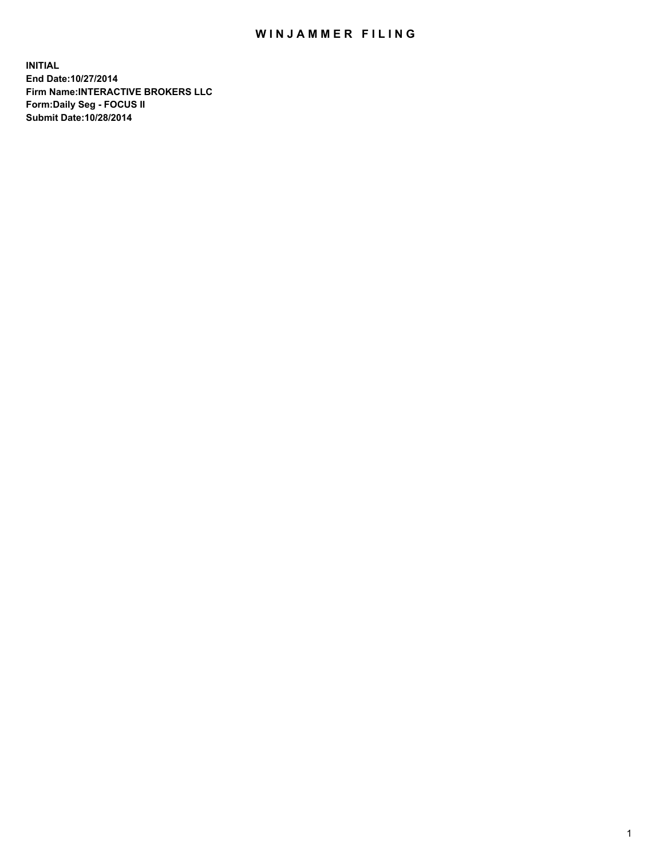## WIN JAMMER FILING

**INITIAL End Date:10/27/2014 Firm Name:INTERACTIVE BROKERS LLC Form:Daily Seg - FOCUS II Submit Date:10/28/2014**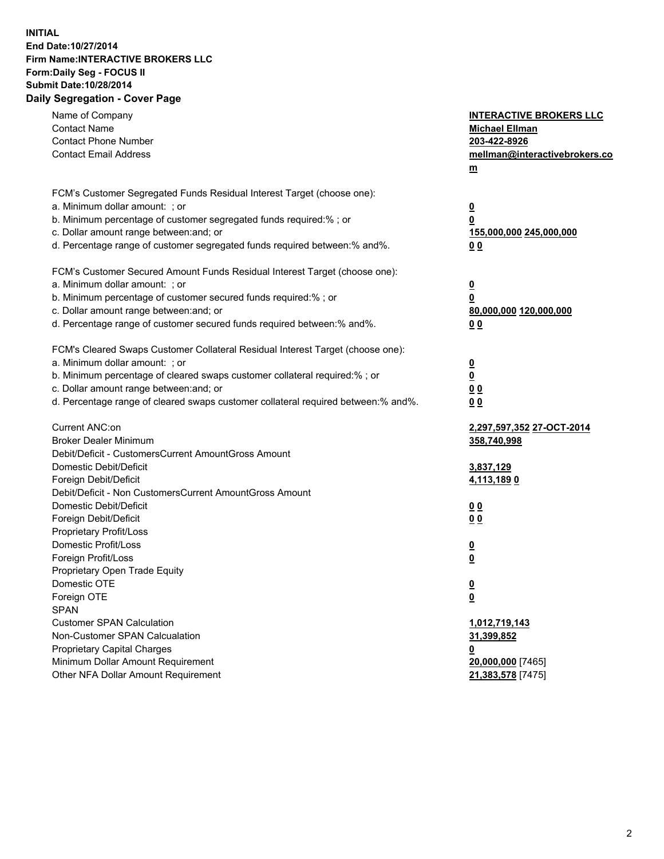## **INITIAL End Date:10/27/2014 Firm Name:INTERACTIVE BROKERS LLC Form:Daily Seg - FOCUS II Submit Date:10/28/2014 Daily Segregation - Cover Page**

| Name of Company<br><b>Contact Name</b><br><b>Contact Phone Number</b><br><b>Contact Email Address</b>                                                                                                                                                                                                                          | <b>INTERACTIVE BROKERS LLC</b><br><b>Michael Ellman</b><br>203-422-8926<br>mellman@interactivebrokers.co<br>$m$ |
|--------------------------------------------------------------------------------------------------------------------------------------------------------------------------------------------------------------------------------------------------------------------------------------------------------------------------------|-----------------------------------------------------------------------------------------------------------------|
| FCM's Customer Segregated Funds Residual Interest Target (choose one):<br>a. Minimum dollar amount: ; or<br>b. Minimum percentage of customer segregated funds required:% ; or<br>c. Dollar amount range between: and; or<br>d. Percentage range of customer segregated funds required between:% and%.                         | <u>0</u><br>0<br>155,000,000 245,000,000<br>0 <sub>0</sub>                                                      |
| FCM's Customer Secured Amount Funds Residual Interest Target (choose one):<br>a. Minimum dollar amount: ; or<br>b. Minimum percentage of customer secured funds required:% ; or<br>c. Dollar amount range between: and; or<br>d. Percentage range of customer secured funds required between:% and%.                           | <u>0</u><br>0<br>80,000,000 120,000,000<br>0 <sub>0</sub>                                                       |
| FCM's Cleared Swaps Customer Collateral Residual Interest Target (choose one):<br>a. Minimum dollar amount: ; or<br>b. Minimum percentage of cleared swaps customer collateral required:% ; or<br>c. Dollar amount range between: and; or<br>d. Percentage range of cleared swaps customer collateral required between:% and%. | $\overline{\mathbf{0}}$<br>$\underline{\mathbf{0}}$<br>0 <sub>0</sub><br>0 <sub>0</sub>                         |
| Current ANC:on<br><b>Broker Dealer Minimum</b><br>Debit/Deficit - CustomersCurrent AmountGross Amount<br>Domestic Debit/Deficit<br>Foreign Debit/Deficit                                                                                                                                                                       | <u>2,297,597,352 27-OCT-2014</u><br>358,740,998<br>3,837,129<br>4,113,1890                                      |
| Debit/Deficit - Non CustomersCurrent AmountGross Amount<br>Domestic Debit/Deficit<br>Foreign Debit/Deficit<br>Proprietary Profit/Loss<br>Domestic Profit/Loss                                                                                                                                                                  | 0 <sub>0</sub><br>0 <sub>0</sub><br><u>0</u>                                                                    |
| Foreign Profit/Loss<br>Proprietary Open Trade Equity<br>Domestic OTE<br>Foreign OTE<br><b>SPAN</b><br><b>Customer SPAN Calculation</b>                                                                                                                                                                                         | <u>0</u><br><u>0</u><br><u>0</u><br>1,012,719,143                                                               |
| Non-Customer SPAN Calcualation<br><b>Proprietary Capital Charges</b><br>Minimum Dollar Amount Requirement<br>Other NFA Dollar Amount Requirement                                                                                                                                                                               | <u>31,399,852</u><br><u>0</u><br>20,000,000 [7465]<br>21,383,578 [7475]                                         |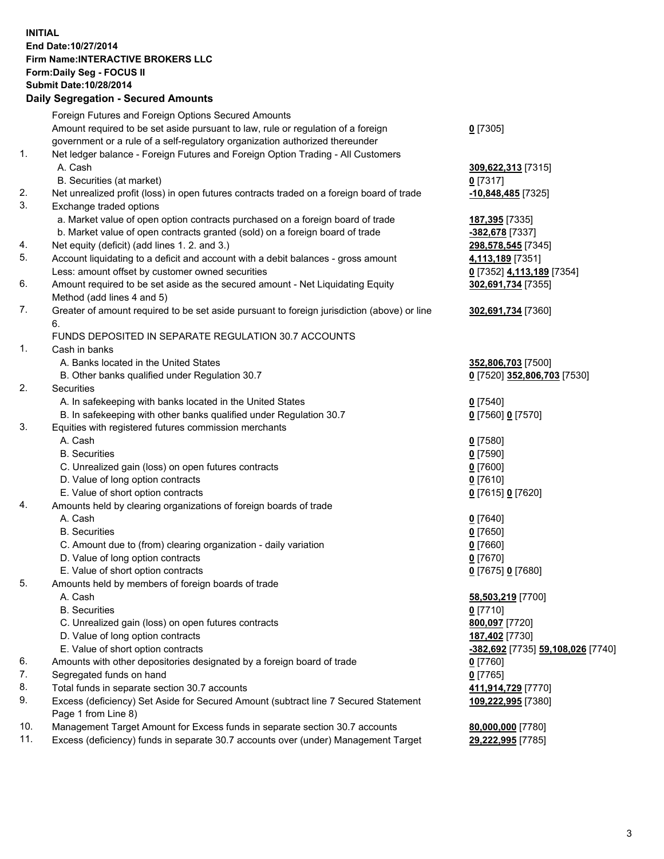## **INITIAL End Date:10/27/2014 Firm Name:INTERACTIVE BROKERS LLC Form:Daily Seg - FOCUS II Submit Date:10/28/2014 Daily Segregation - Secured Amounts**

|     | Dany Ocgregation - Oceanea Annoanta                                                         |                                          |
|-----|---------------------------------------------------------------------------------------------|------------------------------------------|
|     | Foreign Futures and Foreign Options Secured Amounts                                         |                                          |
|     | Amount required to be set aside pursuant to law, rule or regulation of a foreign            | $0$ [7305]                               |
|     | government or a rule of a self-regulatory organization authorized thereunder                |                                          |
| 1.  | Net ledger balance - Foreign Futures and Foreign Option Trading - All Customers             |                                          |
|     | A. Cash                                                                                     | 309,622,313 [7315]                       |
|     | B. Securities (at market)                                                                   | $0$ [7317]                               |
| 2.  | Net unrealized profit (loss) in open futures contracts traded on a foreign board of trade   | -10,848,485 [7325]                       |
| 3.  | Exchange traded options                                                                     |                                          |
|     | a. Market value of open option contracts purchased on a foreign board of trade              | 187,395 [7335]                           |
|     | b. Market value of open contracts granted (sold) on a foreign board of trade                | <mark>-382,678</mark> [7337]             |
| 4.  | Net equity (deficit) (add lines 1.2. and 3.)                                                | 298,578,545 [7345]                       |
| 5.  | Account liquidating to a deficit and account with a debit balances - gross amount           | 4,113,189 [7351]                         |
|     | Less: amount offset by customer owned securities                                            | 0 [7352] 4,113,189 [7354]                |
| 6.  | Amount required to be set aside as the secured amount - Net Liquidating Equity              | 302,691,734 [7355]                       |
|     | Method (add lines 4 and 5)                                                                  |                                          |
| 7.  | Greater of amount required to be set aside pursuant to foreign jurisdiction (above) or line | 302,691,734 [7360]                       |
|     | 6.                                                                                          |                                          |
|     | FUNDS DEPOSITED IN SEPARATE REGULATION 30.7 ACCOUNTS                                        |                                          |
| 1.  | Cash in banks                                                                               |                                          |
|     | A. Banks located in the United States                                                       | 352,806,703 [7500]                       |
|     | B. Other banks qualified under Regulation 30.7                                              | 0 [7520] 352,806,703 [7530]              |
| 2.  | Securities                                                                                  |                                          |
|     | A. In safekeeping with banks located in the United States                                   | $0$ [7540]                               |
|     | B. In safekeeping with other banks qualified under Regulation 30.7                          | 0 [7560] 0 [7570]                        |
| 3.  | Equities with registered futures commission merchants                                       |                                          |
|     | A. Cash                                                                                     | $0$ [7580]                               |
|     | <b>B.</b> Securities                                                                        | $0$ [7590]                               |
|     | C. Unrealized gain (loss) on open futures contracts                                         | $0$ [7600]                               |
|     | D. Value of long option contracts                                                           | $0$ [7610]                               |
|     | E. Value of short option contracts                                                          | 0 [7615] 0 [7620]                        |
| 4.  | Amounts held by clearing organizations of foreign boards of trade                           |                                          |
|     | A. Cash                                                                                     | $0$ [7640]                               |
|     | <b>B.</b> Securities                                                                        | $0$ [7650]                               |
|     | C. Amount due to (from) clearing organization - daily variation                             | $0$ [7660]                               |
|     | D. Value of long option contracts                                                           | $0$ [7670]                               |
|     | E. Value of short option contracts                                                          | 0 [7675] 0 [7680]                        |
| 5.  | Amounts held by members of foreign boards of trade                                          |                                          |
|     | A. Cash                                                                                     | 58,503,219 [7700]                        |
|     | <b>B.</b> Securities                                                                        | $0$ [7710]                               |
|     | C. Unrealized gain (loss) on open futures contracts                                         | 800,097 [7720]                           |
|     | D. Value of long option contracts                                                           | 187,402 [7730]                           |
|     | E. Value of short option contracts                                                          | <u>-382,692</u> [7735] 59,108,026 [7740] |
| 6.  | Amounts with other depositories designated by a foreign board of trade                      | 0 [7760]                                 |
| 7.  | Segregated funds on hand                                                                    | $0$ [7765]                               |
| 8.  | Total funds in separate section 30.7 accounts                                               | 411,914,729 [7770]                       |
| 9.  | Excess (deficiency) Set Aside for Secured Amount (subtract line 7 Secured Statement         | 109,222,995 [7380]                       |
|     | Page 1 from Line 8)                                                                         |                                          |
| 10. | Management Target Amount for Excess funds in separate section 30.7 accounts                 | 80,000,000 [7780]                        |
| 11. | Excess (deficiency) funds in separate 30.7 accounts over (under) Management Target          | 29,222,995 [7785]                        |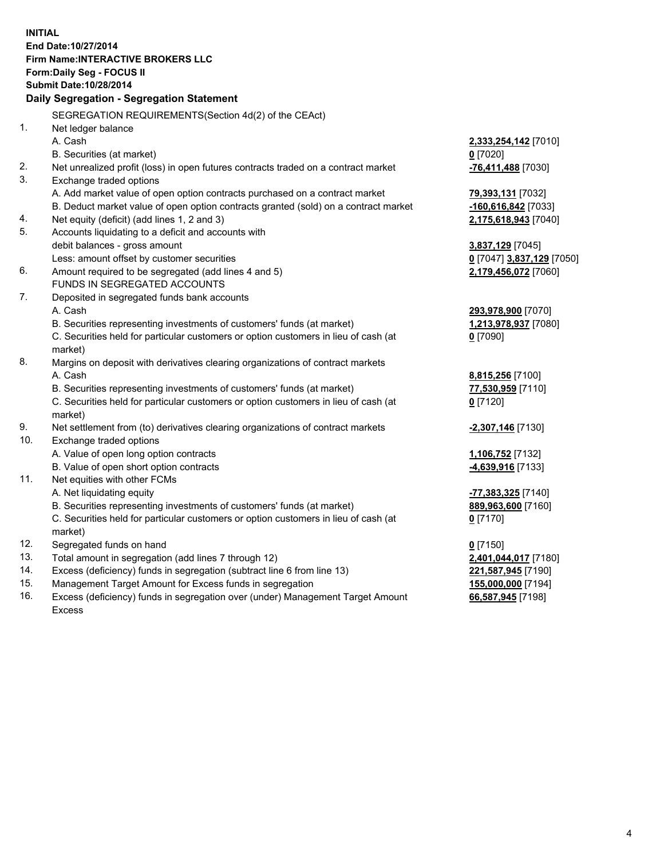**INITIAL End Date:10/27/2014 Firm Name:INTERACTIVE BROKERS LLC Form:Daily Seg - FOCUS II Submit Date:10/28/2014 Daily Segregation - Segregation Statement** SEGREGATION REQUIREMENTS(Section 4d(2) of the CEAct) 1. Net ledger balance A. Cash **2,333,254,142** [7010] B. Securities (at market) **0** [7020] 2. Net unrealized profit (loss) in open futures contracts traded on a contract market **-76,411,488** [7030] 3. Exchange traded options A. Add market value of open option contracts purchased on a contract market **79,393,131** [7032] B. Deduct market value of open option contracts granted (sold) on a contract market **-160,616,842** [7033] 4. Net equity (deficit) (add lines 1, 2 and 3) **2,175,618,943** [7040] 5. Accounts liquidating to a deficit and accounts with debit balances - gross amount **3,837,129** [7045] Less: amount offset by customer securities **0** [7047] **3,837,129** [7050] 6. Amount required to be segregated (add lines 4 and 5) **2,179,456,072** [7060] FUNDS IN SEGREGATED ACCOUNTS 7. Deposited in segregated funds bank accounts A. Cash **293,978,900** [7070] B. Securities representing investments of customers' funds (at market) **1,213,978,937** [7080] C. Securities held for particular customers or option customers in lieu of cash (at market) **0** [7090] 8. Margins on deposit with derivatives clearing organizations of contract markets A. Cash **8,815,256** [7100] B. Securities representing investments of customers' funds (at market) **77,530,959** [7110] C. Securities held for particular customers or option customers in lieu of cash (at market) **0** [7120] 9. Net settlement from (to) derivatives clearing organizations of contract markets **-2,307,146** [7130] 10. Exchange traded options A. Value of open long option contracts **1,106,752** [7132] B. Value of open short option contracts **-4,639,916** [7133] 11. Net equities with other FCMs A. Net liquidating equity **-77,383,325** [7140] B. Securities representing investments of customers' funds (at market) **889,963,600** [7160] C. Securities held for particular customers or option customers in lieu of cash (at market) **0** [7170] 12. Segregated funds on hand **0** [7150] 13. Total amount in segregation (add lines 7 through 12) **2,401,044,017** [7180] 14. Excess (deficiency) funds in segregation (subtract line 6 from line 13) **221,587,945** [7190] 15. Management Target Amount for Excess funds in segregation **155,000,000** [7194]

16. Excess (deficiency) funds in segregation over (under) Management Target Amount Excess

**66,587,945** [7198]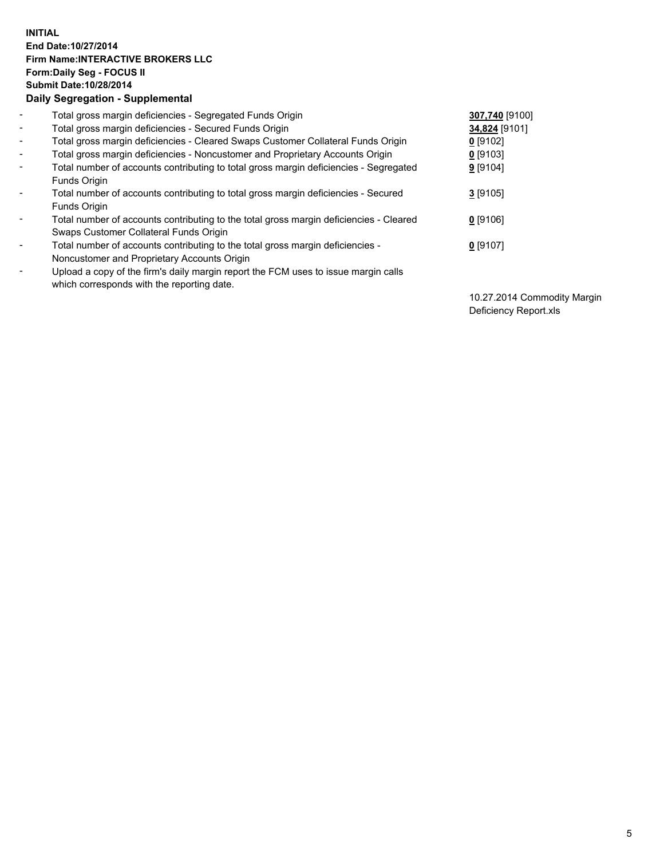## **INITIAL End Date:10/27/2014 Firm Name:INTERACTIVE BROKERS LLC Form:Daily Seg - FOCUS II Submit Date:10/28/2014 Daily Segregation - Supplemental**

| $\blacksquare$ | Total gross margin deficiencies - Segregated Funds Origin                              | 307,740 [9100] |
|----------------|----------------------------------------------------------------------------------------|----------------|
| $\blacksquare$ | Total gross margin deficiencies - Secured Funds Origin                                 | 34,824 [9101]  |
| $\blacksquare$ | Total gross margin deficiencies - Cleared Swaps Customer Collateral Funds Origin       | $0$ [9102]     |
| $\blacksquare$ | Total gross margin deficiencies - Noncustomer and Proprietary Accounts Origin          | 0 [9103]       |
| $\blacksquare$ | Total number of accounts contributing to total gross margin deficiencies - Segregated  | 9 [9104]       |
|                | <b>Funds Origin</b>                                                                    |                |
| $\blacksquare$ | Total number of accounts contributing to total gross margin deficiencies - Secured     | $3$ [9105]     |
|                | <b>Funds Origin</b>                                                                    |                |
| $\blacksquare$ | Total number of accounts contributing to the total gross margin deficiencies - Cleared | $0$ [9106]     |
|                | Swaps Customer Collateral Funds Origin                                                 |                |
| $\blacksquare$ | Total number of accounts contributing to the total gross margin deficiencies -         | $0$ [9107]     |
|                | Noncustomer and Proprietary Accounts Origin                                            |                |
| $\blacksquare$ | Upload a copy of the firm's daily margin report the FCM uses to issue margin calls     |                |
|                | which corresponds with the reporting date.                                             |                |

10.27.2014 Commodity Margin Deficiency Report.xls